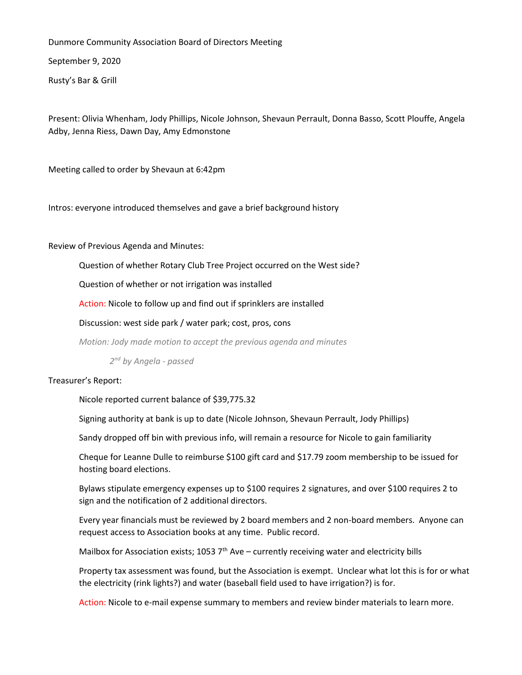Dunmore Community Association Board of Directors Meeting

September 9, 2020

Rusty's Bar & Grill

Present: Olivia Whenham, Jody Phillips, Nicole Johnson, Shevaun Perrault, Donna Basso, Scott Plouffe, Angela Adby, Jenna Riess, Dawn Day, Amy Edmonstone

Meeting called to order by Shevaun at 6:42pm

Intros: everyone introduced themselves and gave a brief background history

Review of Previous Agenda and Minutes:

Question of whether Rotary Club Tree Project occurred on the West side?

Question of whether or not irrigation was installed

Action: Nicole to follow up and find out if sprinklers are installed

Discussion: west side park / water park; cost, pros, cons

*Motion: Jody made motion to accept the previous agenda and minutes*

*2 nd by Angela - passed*

Treasurer's Report:

Nicole reported current balance of \$39,775.32

Signing authority at bank is up to date (Nicole Johnson, Shevaun Perrault, Jody Phillips)

Sandy dropped off bin with previous info, will remain a resource for Nicole to gain familiarity

Cheque for Leanne Dulle to reimburse \$100 gift card and \$17.79 zoom membership to be issued for hosting board elections.

Bylaws stipulate emergency expenses up to \$100 requires 2 signatures, and over \$100 requires 2 to sign and the notification of 2 additional directors.

Every year financials must be reviewed by 2 board members and 2 non-board members. Anyone can request access to Association books at any time. Public record.

Mailbox for Association exists; 1053  $7<sup>th</sup>$  Ave – currently receiving water and electricity bills

Property tax assessment was found, but the Association is exempt. Unclear what lot this is for or what the electricity (rink lights?) and water (baseball field used to have irrigation?) is for.

Action: Nicole to e-mail expense summary to members and review binder materials to learn more.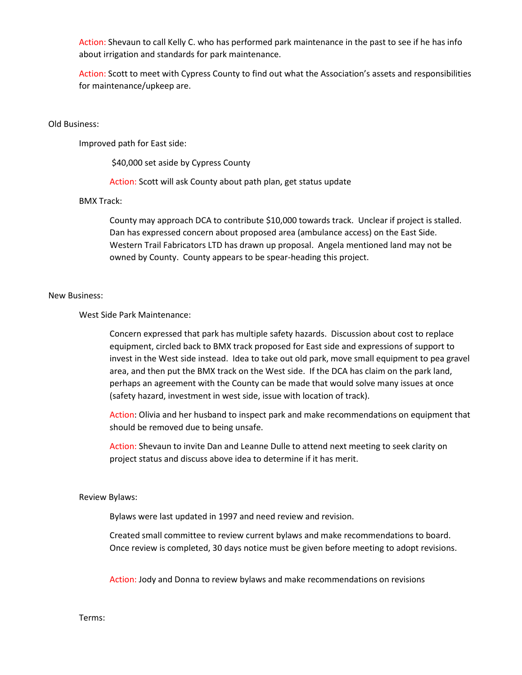Action: Shevaun to call Kelly C. who has performed park maintenance in the past to see if he has info about irrigation and standards for park maintenance.

Action: Scott to meet with Cypress County to find out what the Association's assets and responsibilities for maintenance/upkeep are.

# Old Business:

Improved path for East side:

\$40,000 set aside by Cypress County

Action: Scott will ask County about path plan, get status update

## BMX Track:

County may approach DCA to contribute \$10,000 towards track. Unclear if project is stalled. Dan has expressed concern about proposed area (ambulance access) on the East Side. Western Trail Fabricators LTD has drawn up proposal. Angela mentioned land may not be owned by County. County appears to be spear-heading this project.

### New Business:

West Side Park Maintenance:

Concern expressed that park has multiple safety hazards. Discussion about cost to replace equipment, circled back to BMX track proposed for East side and expressions of support to invest in the West side instead. Idea to take out old park, move small equipment to pea gravel area, and then put the BMX track on the West side. If the DCA has claim on the park land, perhaps an agreement with the County can be made that would solve many issues at once (safety hazard, investment in west side, issue with location of track).

Action: Olivia and her husband to inspect park and make recommendations on equipment that should be removed due to being unsafe.

Action: Shevaun to invite Dan and Leanne Dulle to attend next meeting to seek clarity on project status and discuss above idea to determine if it has merit.

## Review Bylaws:

Bylaws were last updated in 1997 and need review and revision.

Created small committee to review current bylaws and make recommendations to board. Once review is completed, 30 days notice must be given before meeting to adopt revisions.

Action: Jody and Donna to review bylaws and make recommendations on revisions